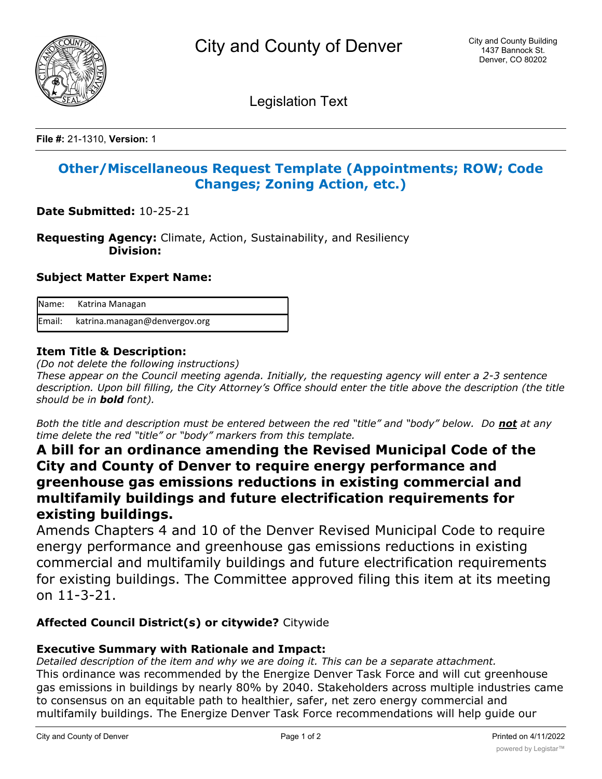

Legislation Text

**File #:** 21-1310, **Version:** 1

## **Other/Miscellaneous Request Template (Appointments; ROW; Code Changes; Zoning Action, etc.)**

**Date Submitted:** 10-25-21

**Requesting Agency:** Climate, Action, Sustainability, and Resiliency  **Division:**

#### **Subject Matter Expert Name:**

| Name: Katrina Managan                |
|--------------------------------------|
| Email: katrina.managan@denvergov.org |

### **Item Title & Description:**

*(Do not delete the following instructions)*

*These appear on the Council meeting agenda. Initially, the requesting agency will enter a 2-3 sentence description. Upon bill filling, the City Attorney's Office should enter the title above the description (the title should be in bold font).*

*Both the title and description must be entered between the red "title" and "body" below. Do not at any time delete the red "title" or "body" markers from this template.*

# **A bill for an ordinance amending the Revised Municipal Code of the City and County of Denver to require energy performance and greenhouse gas emissions reductions in existing commercial and multifamily buildings and future electrification requirements for existing buildings.**

Amends Chapters 4 and 10 of the Denver Revised Municipal Code to require energy performance and greenhouse gas emissions reductions in existing commercial and multifamily buildings and future electrification requirements for existing buildings. The Committee approved filing this item at its meeting on 11-3-21.

### **Affected Council District(s) or citywide?** Citywide

### **Executive Summary with Rationale and Impact:**

*Detailed description of the item and why we are doing it. This can be a separate attachment.* This ordinance was recommended by the Energize Denver Task Force and will cut greenhouse gas emissions in buildings by nearly 80% by 2040. Stakeholders across multiple industries came to consensus on an equitable path to healthier, safer, net zero energy commercial and multifamily buildings. The Energize Denver Task Force recommendations will help guide our